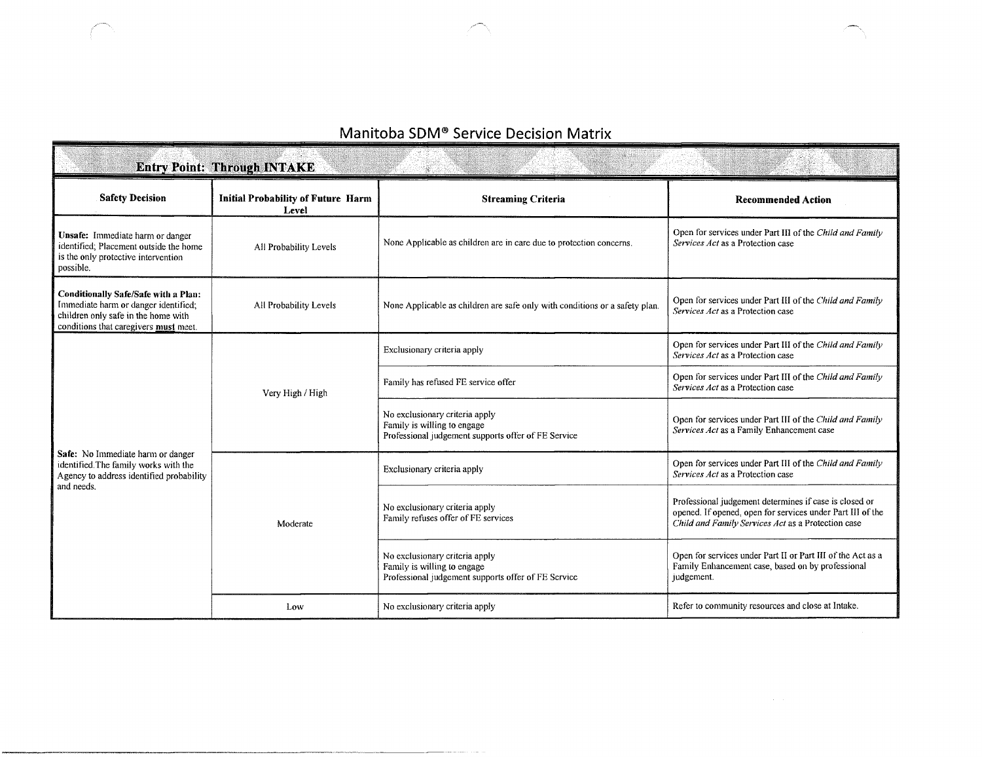## Manitoba SDM® Service Decision Matrix

|                                                                                                                                                              | <b>Entry Point: Through INTAKE</b>                 |                                                                                                                      |                                                                                                                                                                            |
|--------------------------------------------------------------------------------------------------------------------------------------------------------------|----------------------------------------------------|----------------------------------------------------------------------------------------------------------------------|----------------------------------------------------------------------------------------------------------------------------------------------------------------------------|
| <b>Safety Decision</b>                                                                                                                                       | <b>Initial Probability of Future Harm</b><br>Level | <b>Streaming Criteria</b>                                                                                            | <b>Recommended Action</b>                                                                                                                                                  |
| Unsafe: Immediate harm or danger<br>identified; Placement outside the home<br>is the only protective intervention<br>possible.                               | All Probability Levels                             | None Applicable as children are in care due to protection concerns.                                                  | Open for services under Part III of the Child and Family<br>Services Act as a Protection case                                                                              |
| Conditionally Safe/Safe with a Plan:<br>Immediate harm or danger identified;<br>children only safe in the home with<br>conditions that caregivers must meet. | All Probability Levels                             | None Applicable as children are safe only with conditions or a safety plan.                                          | Open for services under Part III of the Child and Family<br>Services Act as a Protection case                                                                              |
| Safe: No Immediate harm or danger<br>identified. The family works with the<br>Agency to address identified probability<br>and needs.                         | Very High / High                                   | Exclusionary criteria apply                                                                                          | Open for services under Part III of the Child and Family<br>Services Act as a Protection case                                                                              |
|                                                                                                                                                              |                                                    | Family has refused FE service offer                                                                                  | Open for services under Part III of the Child and Family<br>Services Act as a Protection case                                                                              |
|                                                                                                                                                              |                                                    | No exclusionary criteria apply<br>Family is willing to engage<br>Professional judgement supports offer of FE Service | Open for services under Part III of the Child and Family<br>Services Act as a Family Enhancement case                                                                      |
|                                                                                                                                                              | Moderate                                           | Exclusionary criteria apply                                                                                          | Open for services under Part III of the Child and Family<br>Services Act as a Protection case                                                                              |
|                                                                                                                                                              |                                                    | No exclusionary criteria apply<br>Family refuses offer of FE services                                                | Professional judgement determines if case is closed or<br>opened. If opened, open for services under Part III of the<br>Child and Family Services Act as a Protection case |
|                                                                                                                                                              |                                                    | No exclusionary criteria apply<br>Family is willing to engage<br>Professional judgement supports offer of FE Service | Open for services under Part II or Part III of the Act as a<br>Family Enhancement case, based on by professional<br>judgement.                                             |
|                                                                                                                                                              | Low                                                | No exclusionary criteria apply                                                                                       | Refer to community resources and close at Intake.                                                                                                                          |

 $\bar{z}$